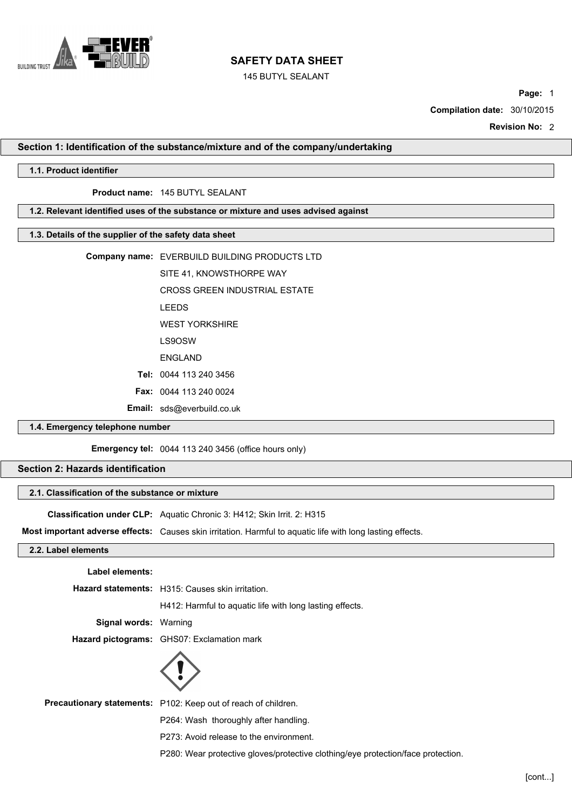

145 BUTYL SEALANT

**Page:** 1

**Compilation date:** 30/10/2015

**Revision No:** 2

### **Section 1: Identification of the substance/mixture and of the company/undertaking**

# **1.1. Product identifier**

## **Product name:** 145 BUTYL SEALANT

# **1.2. Relevant identified uses of the substance or mixture and uses advised against**

# **1.3. Details of the supplier of the safety data sheet**

| <b>1.3. Details Of the supplier Of the salety data sheet</b> |                                               |  |
|--------------------------------------------------------------|-----------------------------------------------|--|
|                                                              | Company name: EVERBUILD BUILDING PRODUCTS LTD |  |
|                                                              | SITE 41, KNOWSTHORPE WAY                      |  |
|                                                              | <b>CROSS GREEN INDUSTRIAL ESTATE</b>          |  |
|                                                              | <b>LEEDS</b>                                  |  |
|                                                              | <b>WEST YORKSHIRE</b>                         |  |
|                                                              | LS9OSW                                        |  |
|                                                              | ENGLAND                                       |  |
|                                                              | Tel: 0044 113 240 3456                        |  |
|                                                              | <b>Fax: <math>0044</math> 113 240 0024</b>    |  |
|                                                              | <b>Email:</b> sds@everbuild.co.uk             |  |
| 1.4. Emergency telephone number                              |                                               |  |

**Emergency tel:** 0044 113 240 3456 (office hours only)

# **Section 2: Hazards identification**

# **2.1. Classification of the substance or mixture**

**Classification under CLP:** Aquatic Chronic 3: H412; Skin Irrit. 2: H315

**Most important adverse effects:** Causes skin irritation. Harmful to aquatic life with long lasting effects.

# **2.2. Label elements**

**Label elements:**

**Hazard statements:** H315: Causes skin irritation.

H412: Harmful to aquatic life with long lasting effects.

**Signal words:** Warning

**Hazard pictograms:** GHS07: Exclamation mark



**Precautionary statements:** P102: Keep out of reach of children.

P264: Wash thoroughly after handling.

P273: Avoid release to the environment.

P280: Wear protective gloves/protective clothing/eye protection/face protection.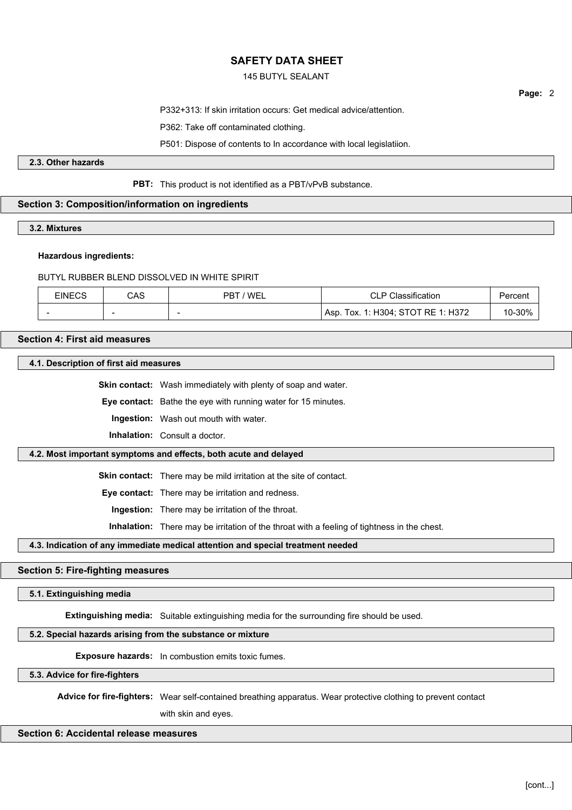# 145 BUTYL SEALANT

**Page:** 2

P332+313: If skin irritation occurs: Get medical advice/attention.

P362: Take off contaminated clothing.

P501: Dispose of contents to In accordance with local legislatiion.

**2.3. Other hazards**

# **PBT:** This product is not identified as a PBT/vPvB substance.

# **Section 3: Composition/information on ingredients**

**3.2. Mixtures**

#### **Hazardous ingredients:**

BUTYL RUBBER BLEND DISSOLVED IN WHITE SPIRIT

| EINECS | CAS                      | 'WEL<br>PRT              | Classification<br>◡∟                  | Percent |
|--------|--------------------------|--------------------------|---------------------------------------|---------|
|        | $\overline{\phantom{a}}$ | $\overline{\phantom{a}}$ | Tox. 1: H304; STOT RE 1: H372<br>Asp. | 10-30%  |

# **Section 4: First aid measures**

**4.1. Description of first aid measures**

**Skin contact:** Wash immediately with plenty of soap and water.

**Eye contact:** Bathe the eye with running water for 15 minutes.

**Ingestion:** Wash out mouth with water.

**Inhalation:** Consult a doctor.

# **4.2. Most important symptoms and effects, both acute and delayed**

**Skin contact:** There may be mild irritation at the site of contact.

**Eye contact:** There may be irritation and redness.

**Ingestion:** There may be irritation of the throat.

**Inhalation:** There may be irritation of the throat with a feeling of tightness in the chest.

# **4.3. Indication of any immediate medical attention and special treatment needed**

#### **Section 5: Fire-fighting measures**

# **5.1. Extinguishing media**

**Extinguishing media:** Suitable extinguishing media for the surrounding fire should be used.

### **5.2. Special hazards arising from the substance or mixture**

**Exposure hazards:** In combustion emits toxic fumes.

**5.3. Advice for fire-fighters**

**Advice for fire-fighters:** Wear self-contained breathing apparatus. Wear protective clothing to prevent contact

with skin and eyes.

# **Section 6: Accidental release measures**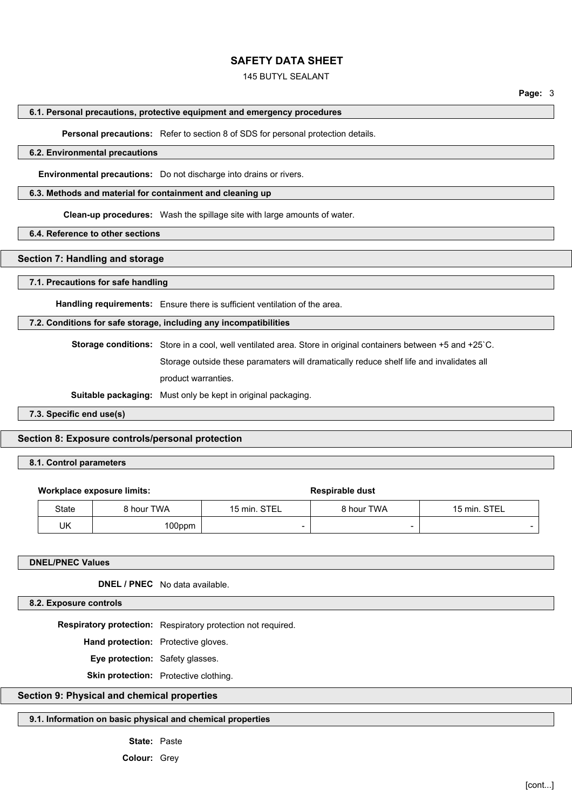## 145 BUTYL SEALANT

#### **6.1. Personal precautions, protective equipment and emergency procedures**

**Personal precautions:** Refer to section 8 of SDS for personal protection details.

# **6.2. Environmental precautions**

**Environmental precautions:** Do not discharge into drains or rivers.

#### **6.3. Methods and material for containment and cleaning up**

**Clean-up procedures:** Wash the spillage site with large amounts of water.

**6.4. Reference to other sections**

## **Section 7: Handling and storage**

#### **7.1. Precautions for safe handling**

**Handling requirements:** Ensure there is sufficient ventilation of the area.

### **7.2. Conditions for safe storage, including any incompatibilities**

**Storage conditions:** Store in a cool, well ventilated area. Store in original containers between +5 and +25`C. Storage outside these paramaters will dramatically reduce shelf life and invalidates all product warranties.

**Suitable packaging:** Must only be kept in original packaging.

## **7.3. Specific end use(s)**

# **Section 8: Exposure controls/personal protection**

# **8.1. Control parameters**

#### **Workplace exposure limits:**  $\qquad \qquad$  **Respirable dust**

| State | ` hour TWA | <b>STEL</b><br>™min.     | 8 hour TWA               | <b>STEI</b><br>15 min<br>--- |
|-------|------------|--------------------------|--------------------------|------------------------------|
| UK    | 00ppm      | $\overline{\phantom{0}}$ | $\overline{\phantom{0}}$ |                              |

# **DNEL/PNEC Values**

**DNEL / PNEC** No data available.

### **8.2. Exposure controls**

**Respiratory protection:** Respiratory protection not required.

**Hand protection:** Protective gloves.

**Eye protection:** Safety glasses.

**Skin protection:** Protective clothing.

# **Section 9: Physical and chemical properties**

# **9.1. Information on basic physical and chemical properties**

**State:** Paste

**Colour:** Grey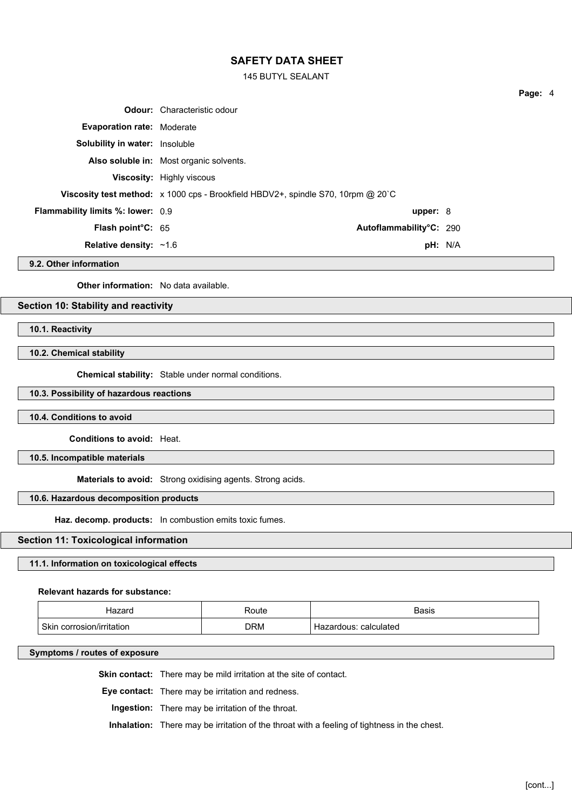145 BUTYL SEALANT

| pH: N/A                                                                                                                                                                                                                                                                                                                                                                                                                                       |
|-----------------------------------------------------------------------------------------------------------------------------------------------------------------------------------------------------------------------------------------------------------------------------------------------------------------------------------------------------------------------------------------------------------------------------------------------|
| <b>Odour:</b> Characteristic odour<br><b>Evaporation rate: Moderate</b><br><b>Solubility in water:</b> Insoluble<br>Also soluble in: Most organic solvents.<br><b>Viscosity:</b> Highly viscous<br><b>Viscosity test method:</b> $\times$ 1000 cps - Brookfield HBDV2+, spindle S70, 10rpm @ 20 °C<br><b>Flammability limits %: lower: 0.9</b><br>upper: $8$<br><b>Flash point C: 65</b><br>Autoflammability°C: 290<br>Relative density: ~1.6 |

**9.2. Other information**

**Other information:** No data available.

# **Section 10: Stability and reactivity**

**10.1. Reactivity**

### **10.2. Chemical stability**

**Chemical stability:** Stable under normal conditions.

### **10.3. Possibility of hazardous reactions**

### **10.4. Conditions to avoid**

**Conditions to avoid:** Heat.

**10.5. Incompatible materials**

**Materials to avoid:** Strong oxidising agents. Strong acids.

### **10.6. Hazardous decomposition products**

**Haz. decomp. products:** In combustion emits toxic fumes.

### **Section 11: Toxicological information**

### **11.1. Information on toxicological effects**

#### **Relevant hazards for substance:**

| 170r<br>iazai u                | Route | <b>Basis</b>              |
|--------------------------------|-------|---------------------------|
| Skin<br>corrosion/irritation ۱ | DRM   | ∵calculated<br>Hazardous. |

#### **Symptoms / routes of exposure**

**Skin contact:** There may be mild irritation at the site of contact.

**Eye contact:** There may be irritation and redness.

**Ingestion:** There may be irritation of the throat.

**Inhalation:** There may be irritation of the throat with a feeling of tightness in the chest.

**Page:** 4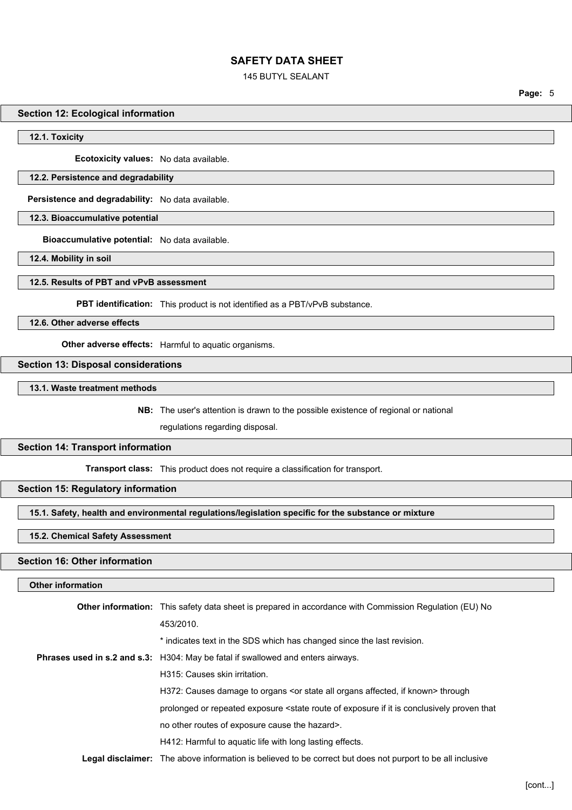### 145 BUTYL SEALANT

**Page:** 5

### **Section 12: Ecological information**

**12.1. Toxicity**

**Ecotoxicity values:** No data available.

### **12.2. Persistence and degradability**

**Persistence and degradability:** No data available.

**12.3. Bioaccumulative potential**

**Bioaccumulative potential:** No data available.

**12.4. Mobility in soil**

## **12.5. Results of PBT and vPvB assessment**

**PBT identification:** This product is not identified as a PBT/vPvB substance.

**12.6. Other adverse effects**

**Other adverse effects:** Harmful to aquatic organisms.

#### **Section 13: Disposal considerations**

**13.1. Waste treatment methods**

**NB:** The user's attention is drawn to the possible existence of regional or national

regulations regarding disposal.

### **Section 14: Transport information**

**Transport class:** This product does not require a classification for transport.

# **Section 15: Regulatory information**

**15.1. Safety, health and environmental regulations/legislation specific for the substance or mixture**

# **15.2. Chemical Safety Assessment**

### **Section 16: Other information**

# **Other information**

| <b>Other information:</b> This safety data sheet is prepared in accordance with Commission Regulation (EU) No                        |
|--------------------------------------------------------------------------------------------------------------------------------------|
| 453/2010.                                                                                                                            |
| * indicates text in the SDS which has changed since the last revision.                                                               |
| Phrases used in s.2 and s.3: H304: May be fatal if swallowed and enters airways.                                                     |
| H315: Causes skin irritation.                                                                                                        |
| H372: Causes damage to organs <or affected,="" all="" if="" known="" organs="" state=""> through</or>                                |
| prolonged or repeated exposure <state conclusively="" exposure="" if="" is="" it="" of="" proven="" route="" th="" that<=""></state> |
| no other routes of exposure cause the hazard>.                                                                                       |
| H412: Harmful to aguatic life with long lasting effects.                                                                             |
| <b>Legal disclaimer:</b> The above information is believed to be correct but does not purport to be all inclusive                    |